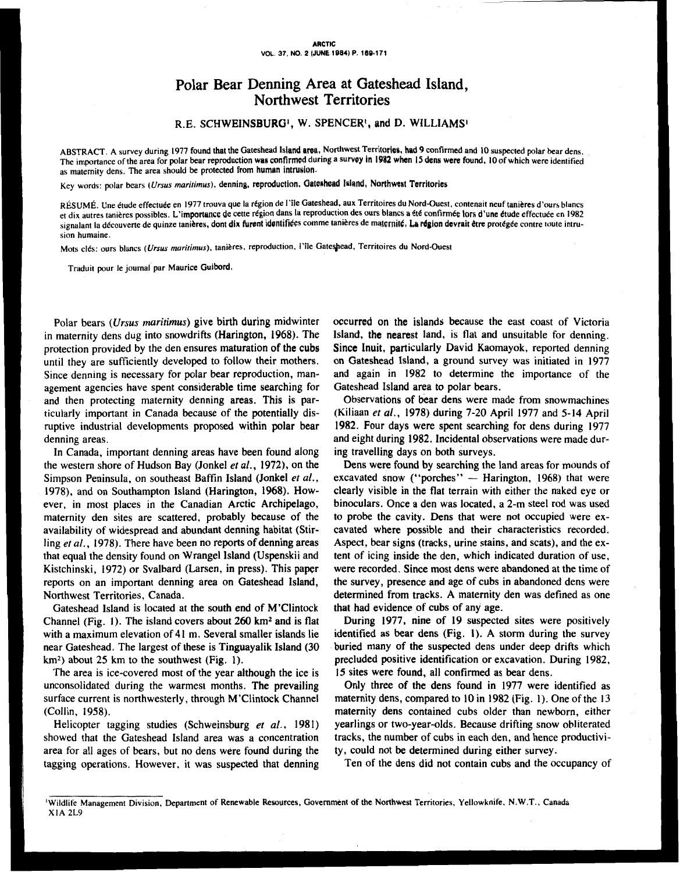## Polar Bear Denning Area at Gateshead Island, Northwest Territories

**R.E.** SCHWEINSBURG', **W. SPENCER', and** D. WILLIAMS

ABSTRACT. A survey during 1977 found that the Gateshead Island area, Northwest Territories, had 9 confirmed and 10 suspected polar bear dens. The importance of the area for polar bear reproduction was confirmed during a survey in 1982 when 15 dens were found, 10 of which were identified as maternity dens. The area should be protected from human intrusion.

Key words: polar bears (Ursus maritimus), denning, reproduction, Gateshead Island, Northwest Territories

RÉSUMÉ. Une étude effectuée en 1977 trouva que la région de l'île Gateshead, aux Territoires du Nord-Ouest, contenait neuf tanières d'ours blancs et dix autres tanières possibles. L'importance de cette région dans la reproduction des ours blancs a été confirmée lors d'une étude effectuée en 1982 signalant la découverte de quinze tanières, dont dix furent identifiées comme tanières de maternité. La région devrait être protégée contre toute intrusion humaine.

Mots clés: ours blancs (Ursus maritimus), tanières, reproduction, l'île Gateshead, Territoires du Nord-Ouest

Traduit pour le journal par Maurice Guibord.

Polar bears *(Ursus maritimus)* give birth during midwinter in maternity dens dug into snowdrifts (Harington, 1968). The protection provided by the den ensures maturation **of** the cubs until they are sufficiently developed **to** follow their mothers. Since denning is necessary for polar bear reproduction, management agencies have spent considerable time searching for and then protecting maternity denning areas. This is particularly important in Canada because of the potentially disruptive industrial developments proposed within polar bear denning areas.

In Canada, important denning areas have been found along the western shore of Hudson Bay (Jonkel *et al.,* 1972). on the Simpson Peninsula, on southeast Baffin Island (Jonkel *et* **af.,**  1978), and on Southampton Island (Harington, 1968). However, in most places in the Canadian Arctic Archipelago, maternity den sites are scattered, probably because of the availability of widespread and abundant denning habitat (Stirling *et al.,* 1978). There have been no reports **of** denning areas that equal the density found on Wrangel Island (Uspenskii and Kistchinski, 1972) or Svalbard (Larsen, in press). This paper reports on an important denning area on Gateshead Island, Northwest Territories, Canada.

Gateshead Island is located at the south end of M'Clintock Channel (Fig. 1). The island covers about 260 km2 and is flat with a maximum elevation of **41** m. Several smaller islands lie near Gateshead. The largest **of** these is Tinguayalik Island **(30 km2)** about **25** km to the southwest (Fig. 1).

The area is ice-covered most of the year although the ice is unconsolidated during the warmest months. The prevailing surface current is northwesterly, through M'Clintock Channel (Collin, 1958).

Helicopter tagging studies (Schweinsburg *et* **af.,** 1981) showed that the Gateshead Island area was a concentration area for all ages of bears, but no dens were found during the tagging operations. However, it was suspected that denning occurred on the islands because the east coast of Victoria Island, the nearest land, is flat and unsuitable for denning. Since Inuit, particularly David Kaomayok, reported denning on Gateshead Island, a ground survey was initiated in 1977 and again in 1982 to determine the importance of the Gateshead Island area **to** polar bears.

Observations **of** bear dens were made from snowmachines (Kiliaan *et al.,* 1978) during 7-20 April 1977 and 5-14 April **1982.** Four days were spent searching for dens during 1977 and eight during 1982. Incidental observations were made during travelling days on both surveys.

Dens were found by searching the land areas for mounds of excavated snow ("porches"  $-$  Harington, 1968) that were clearly visible in the flat terrain with either the naked eye or binoculars. Once a den was located, a 2-m steel rod was used to probe the cavity. Dens that were not occupied were excavated where possible and their characteristics recorded. Aspect, bear signs (tracks, urine stains, and scats), and the extent of icing inside the den, which indicated duration of use, were recorded. Since most dens were abandoned at the time of the survey, presence and age **of** cubs in abandoned dens were determined from tracks. A maternity den was defined as one that had evidence **of** cubs of any age.

During 1977, nine of 19 suspected sites were positively identified as bear dens (Fig. **I).** A storm during the survey buried many of the suspected dens under deep drifts which precluded positive identification or excavation. During 1982, **15** sites were found, all confirmed as bear dens.

Only three **of** the dens found in 1977 were identified as maternity dens, compared **to 10** in 1982 (Fig. **1).** One of the **13**  maternity dens contained cubs older than newborn, either yearlings **or** two-year-olds. Because drifting snow obliterated tracks, the number of cubs in each den, and hence productivity, could not be determined during either survey.

Ten of the dens did not contain cubs and the occupancy of

**<sup>&#</sup>x27;Wildlife Management Division. Department of Renewable Resources, Government of the Northwest Territories, Yellowknife, N.W.T., Canada X IA** 2L9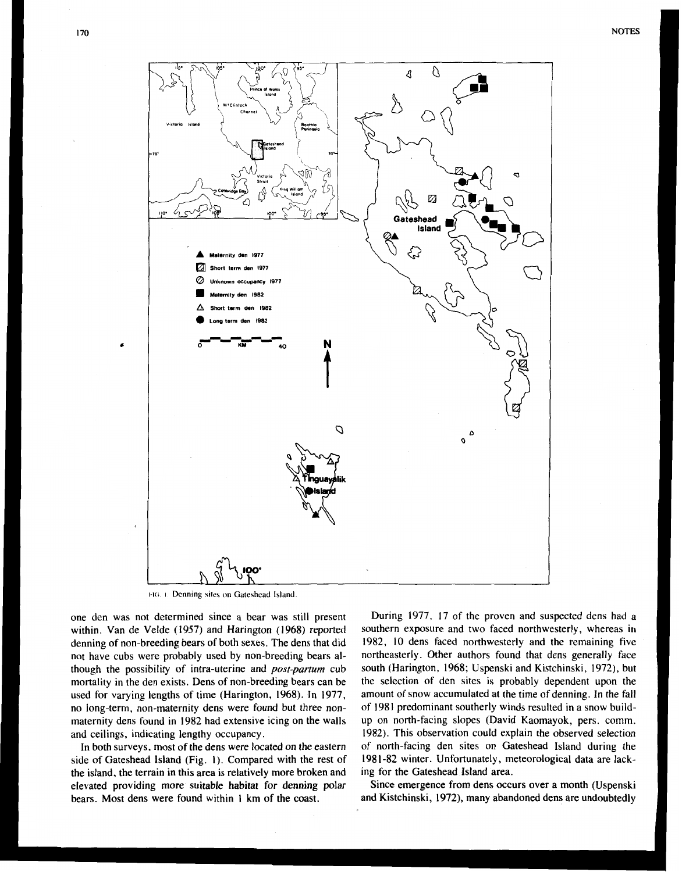

FIG. 1. Denning sites on Gateshead Island.

one den was not determined since a bear was still present within. Van de Velde (1957) and Harington (1968) reported denning of non-breeding bears of both sexes. The dens that did not have cubs were probably used by non-breeding bears although the possibility of intra-uterine and *post-parturn* cub mortality in the den exists. Dens of non-breeding bears can be used for varying lengths of time (Harington, 1968). In 1977, no long-term, non-maternity dens were found but three nonmaternity dens found in 1982 had extensive icing on the walls and ceilings, indicating lengthy occupancy.

In both surveys, most of the dens were located on the eastern side of Gateshead Island (Fig. **I).** Compared with the rest of the island, the terrain in this area is relatively more broken and elevated providing more suitable habitat for denning polar bears. Most dens were found within **1** km **of** the coast.

During 1977, 17 of the proven and suspected dens had a southern exposure and two faced northwesterly, whereas in 1982, IO dens faced northwesterly and the remaining five northeasterly. Other authors found that dens generally face south (Harington, 1968; Uspenski and Kistchinski, 1972), but the selection of den sites is probably dependent upon the amount of snow accumulated at the time of denning. **In** the fall of 1981 predominant southerly winds resulted in a snow buildup on north-facing slopes (David Kaomayok, pers. comm. 1982). This observation could explain the observed selection of north-facing den sites on Gateshead Island during the 198 1-82 winter. Unfortunately, meteorological data are lacking for the Gateshead Island area.

Since emergence from dens occurs over a month (Uspenski and Kistchinski, 1972), many abandoned dens are undoubtedly